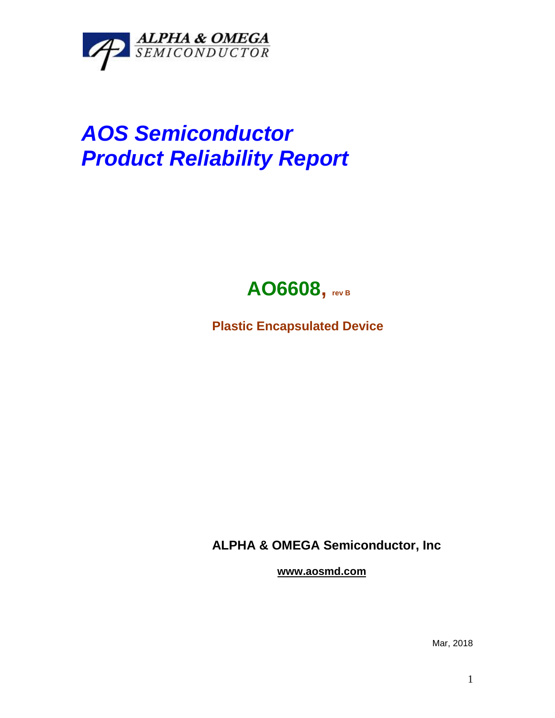

## *AOS Semiconductor Product Reliability Report*



**Plastic Encapsulated Device**

**ALPHA & OMEGA Semiconductor, Inc**

**www.aosmd.com**

Mar, 2018